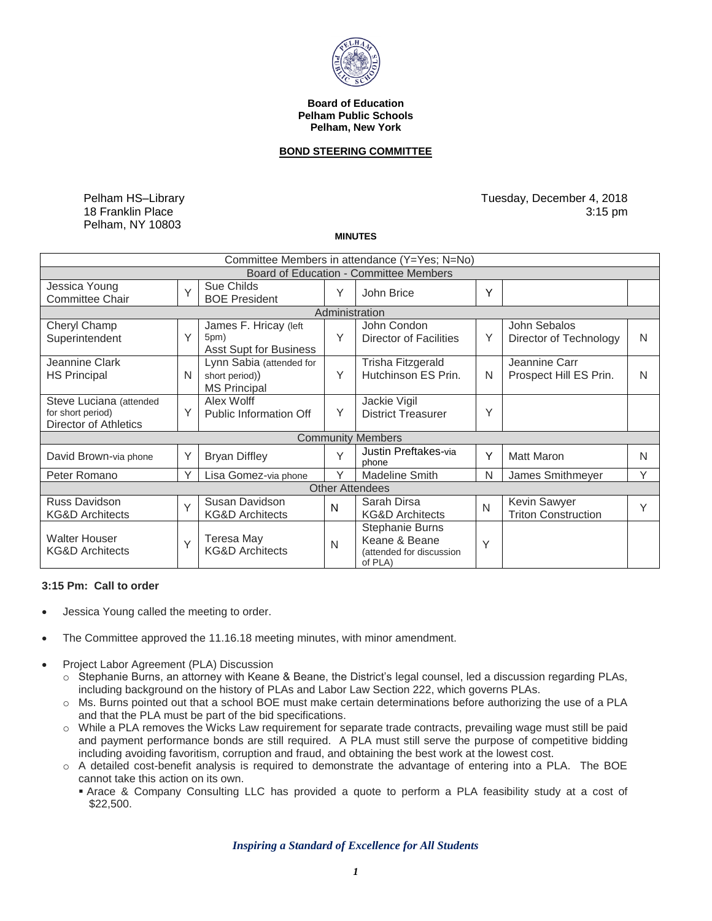

## **Board of Education Pelham Public Schools Pelham, New York**

## **BOND STEERING COMMITTEE**

Pelham HS–Library 18 Franklin Place Pelham, NY 10803

Tuesday, December 4, 2018 3:15 pm

**MINUTES** 

| Committee Members in attendance (Y=Yes; N=No)                         |        |                                                                   |   |                                                                         |   |                                            |   |
|-----------------------------------------------------------------------|--------|-------------------------------------------------------------------|---|-------------------------------------------------------------------------|---|--------------------------------------------|---|
| Board of Education - Committee Members                                |        |                                                                   |   |                                                                         |   |                                            |   |
| Jessica Young<br><b>Committee Chair</b>                               | $\vee$ | Sue Childs<br><b>BOE President</b>                                | Υ | John Brice                                                              | Y |                                            |   |
| Administration                                                        |        |                                                                   |   |                                                                         |   |                                            |   |
| Cheryl Champ<br>Superintendent                                        | Y      | James F. Hricay (left<br>5pm)<br><b>Asst Supt for Business</b>    | Υ | John Condon<br><b>Director of Facilities</b>                            | Y | John Sebalos<br>Director of Technology     | N |
| Jeannine Clark<br><b>HS Principal</b>                                 | N      | Lynn Sabia (attended for<br>short period))<br><b>MS Principal</b> | Y | Trisha Fitzgerald<br>Hutchinson ES Prin.                                | N | Jeannine Carr<br>Prospect Hill ES Prin.    | N |
| Steve Luciana (attended<br>for short period)<br>Director of Athletics | Y      | Alex Wolff<br>Public Information Off                              | Υ | Jackie Vigil<br><b>District Treasurer</b>                               | Υ |                                            |   |
| <b>Community Members</b>                                              |        |                                                                   |   |                                                                         |   |                                            |   |
| David Brown-via phone                                                 | Y      | <b>Bryan Diffley</b>                                              | Y | Justin Preftakes-via<br>phone                                           | Y | <b>Matt Maron</b>                          | N |
| Peter Romano                                                          | Y      | Lisa Gomez-via phone                                              | Y | <b>Madeline Smith</b>                                                   | N | James Smithmeyer                           | Υ |
| <b>Other Attendees</b>                                                |        |                                                                   |   |                                                                         |   |                                            |   |
| Russ Davidson<br><b>KG&amp;D Architects</b>                           | Y      | Susan Davidson<br><b>KG&amp;D Architects</b>                      | N | Sarah Dirsa<br><b>KG&amp;D Architects</b>                               | N | Kevin Sawyer<br><b>Triton Construction</b> |   |
| <b>Walter Houser</b><br><b>KG&amp;D Architects</b>                    | Y      | Teresa May<br><b>KG&amp;D Architects</b>                          | N | Stephanie Burns<br>Keane & Beane<br>(attended for discussion<br>of PLA) | Y |                                            |   |

## **3:15 Pm: Call to order**

- Jessica Young called the meeting to order.
- The Committee approved the [11.16.18](https://11.16.18) meeting minutes, with minor amendment.
- Project Labor Agreement (PLA) Discussion
	- o Stephanie Burns, an attorney with Keane & Beane, the District's legal counsel, led a discussion regarding PLAs, including background on the history of PLAs and Labor Law Section 222, which governs PLAs.
	- o Ms. Burns pointed out that a school BOE must make certain determinations before authorizing the use of a PLA and that the PLA must be part of the bid specifications.
	- and payment performance bonds are still required. A PLA must still serve the purpose of competitive bidding o While a PLA removes the Wicks Law requirement for separate trade contracts, prevailing wage must still be paid including avoiding favoritism, corruption and fraud, and obtaining the best work at the lowest cost.
	- o A detailed cost-benefit analysis is required to demonstrate the advantage of entering into a PLA. The BOE cannot take this action on its own.
		- Arace & Company Consulting LLC has provided a quote to perform a PLA feasibility study at a cost of \$22,500.

 *Inspiring a Standard of Excellence for All Students*